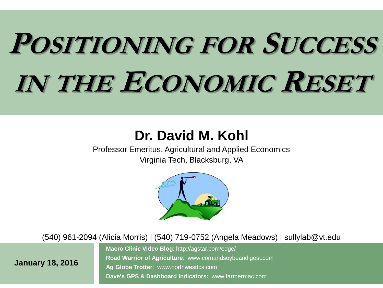# **POSITIONING FOR SUCCESS IN THE ECONOMIC RESET**

#### **Dr. David M. Kohl**

Professor Emeritus, Agricultural and Applied Economics Virginia Tech, Blacksburg, VA



(540) 961-2094 (Alicia Morris) | (540) 719-0752 (Angela Meadows) | sullylab@vt.edu

**January 18, 2016**

**Macro Clinic Video Blog**: http://agstar.com/edge/ **Road Warrior of Agriculture**: www.cornandsoybeandigest.com **Ag Globe Trotter**: www.northwestfcs.com **Dave's GPS & Dashboard Indicators:** www.farmermac.com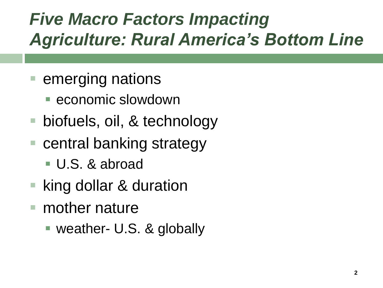### *Five Macro Factors Impacting Agriculture: Rural America's Bottom Line*

- emerging nations
	- **E** economic slowdown
- biofuels, oil, & technology
- central banking strategy
	- U.S. & abroad
- king dollar & duration
- mother nature
	- weather- U.S. & globally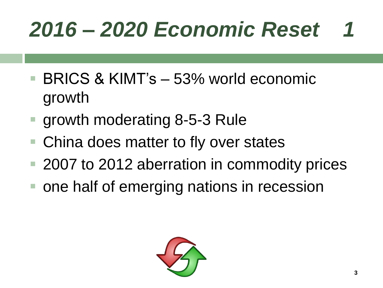- BRICS & KIMT's 53% world economic growth
- growth moderating 8-5-3 Rule
- China does matter to fly over states
- 2007 to 2012 aberration in commodity prices
- **one half of emerging nations in recession**

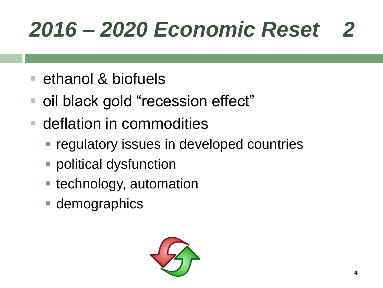- **E** ethanol & biofuels
- oil black gold "recession effect"
- deflation in commodities
	- **Figulatory issues in developed countries**
	- political dysfunction
	- **E** technology, automation
	- **demographics**

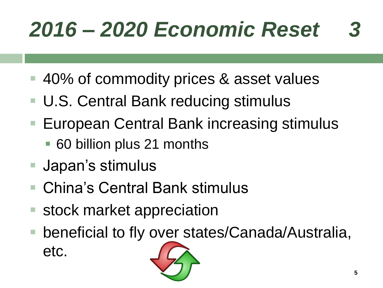- 40% of commodity prices & asset values
- U.S. Central Bank reducing stimulus
- European Central Bank increasing stimulus
	- 60 billion plus 21 months
- Japan's stimulus
- China's Central Bank stimulus
- stock market appreciation
- beneficial to fly over states/Canada/Australia, etc.

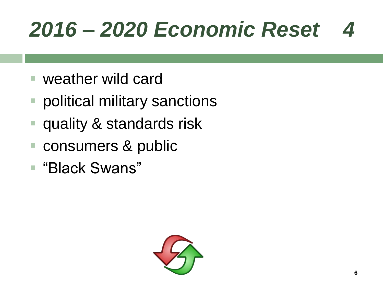- weather wild card
- political military sanctions
- quality & standards risk
- consumers & public
- "Black Swans"

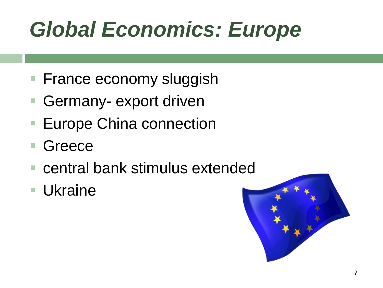## *Global Economics: Europe*

- **France economy sluggish**
- Germany- export driven
- **Europe China connection**
- **Greece**
- central bank stimulus extended
- Ukraine

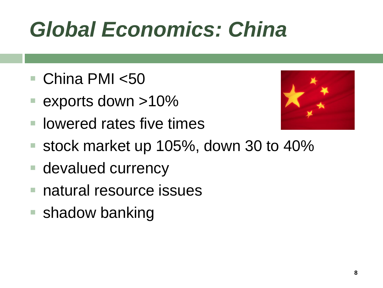## *Global Economics: China*

- China PMI <50
- exports down >10%
- lowered rates five times



- stock market up 105%, down 30 to 40%
- **devalued currency**
- natural resource issues
- shadow banking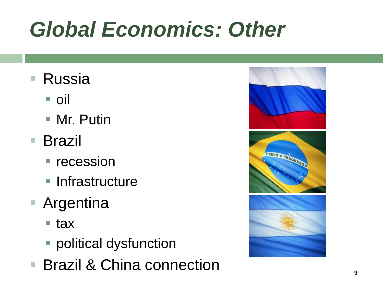## *Global Economics: Other*

- Russia
	- oil
	- Mr. Putin
- Brazil
	- **recession**
	- **Infrastructure**
- **Argentina** 
	- tax
	- political dysfunction
- **Brazil & China connection**

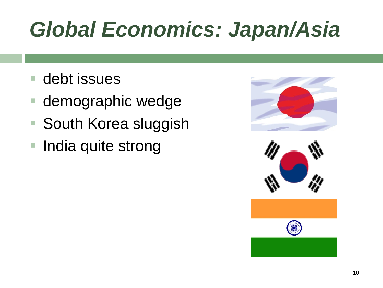### *Global Economics: Japan/Asia*

- debt issues
- demographic wedge
- South Korea sluggish
- India quite strong



![](_page_9_Picture_6.jpeg)

![](_page_9_Picture_7.jpeg)

![](_page_9_Picture_8.jpeg)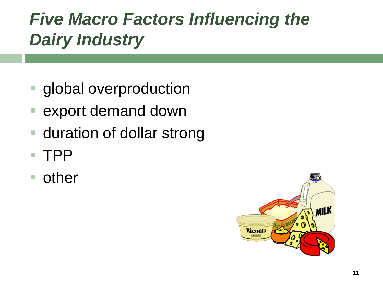### *Five Macro Factors Influencing the Dairy Industry*

- global overproduction
- export demand down
- duration of dollar strong
- TPP
- **n** other

![](_page_10_Picture_6.jpeg)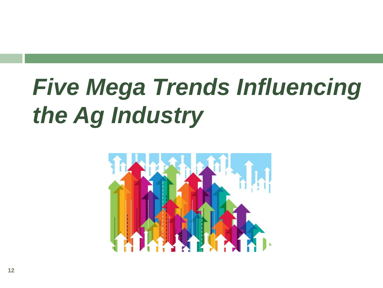## *Five Mega Trends Influencing the Ag Industry*

![](_page_11_Figure_1.jpeg)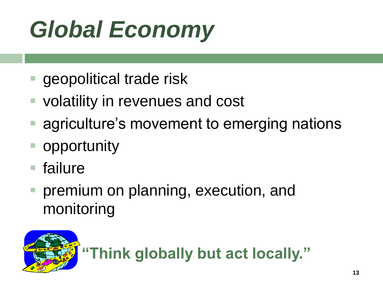## *Global Economy*

- geopolitical trade risk
- **volatility in revenues and cost**
- agriculture's movement to emerging nations
- opportunity
- failure
- premium on planning, execution, and monitoring

![](_page_12_Picture_7.jpeg)

**"Think globally but act locally."**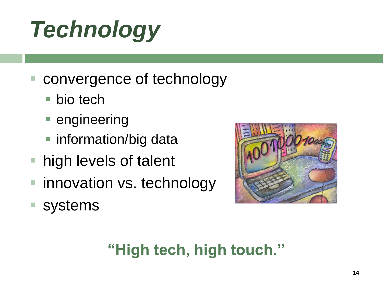## *Technology*

- convergence of technology
	- bio tech
	- **engineering**
	- information/big data
- high levels of talent
- innovation vs. technology
- systems

![](_page_13_Picture_8.jpeg)

### **"High tech, high touch."**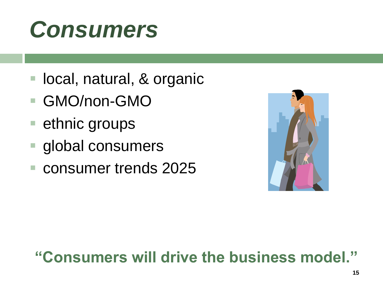## *Consumers*

- local, natural, & organic
- GMO/non-GMO
- ethnic groups
- global consumers
- consumer trends 2025

![](_page_14_Picture_6.jpeg)

#### **"Consumers will drive the business model."**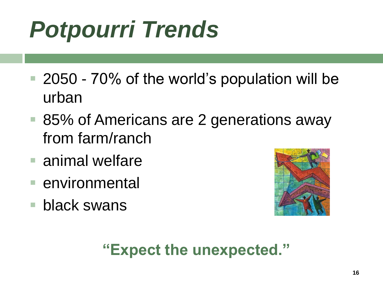## *Potpourri Trends*

- 2050 70% of the world's population will be urban
- 85% of Americans are 2 generations away from farm/ranch
- **E** animal welfare
- **E** environmental
- **black swans**

![](_page_15_Picture_6.jpeg)

#### **"Expect the unexpected."**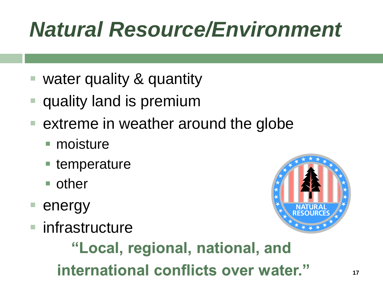### *Natural Resource/Environment*

- water quality & quantity
- quality land is premium
- extreme in weather around the globe
	- moisture
	- temperature
	- **n** other
- energy
- infrastructure

![](_page_16_Picture_9.jpeg)

### "Local, regional, national, and international conflicts over water."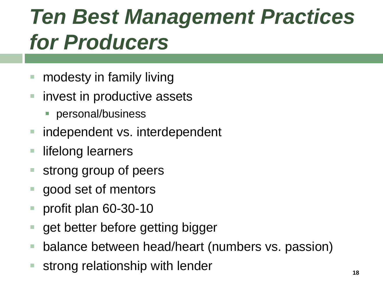### *Ten Best Management Practices for Producers*

- **number** modesty in family living
- **E** invest in productive assets
	- **personal/business**
- independent vs. interdependent
- lifelong learners
- strong group of peers
- **good set of mentors**
- profit plan 60-30-10
- get better before getting bigger
- balance between head/heart (numbers vs. passion)
- strong relationship with lender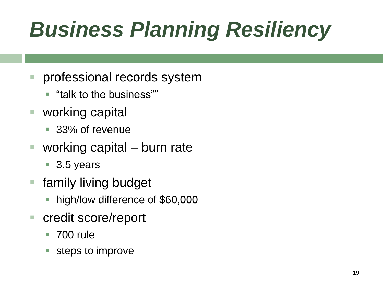## *Business Planning Resiliency*

- **Perofessional records system** 
	- "talk to the business""
- working capital
	- 33% of revenue
- working capital burn rate
	- 3.5 years
- family living budget
	- **high/low difference of \$60,000**
- credit score/report
	- 700 rule
	- steps to improve